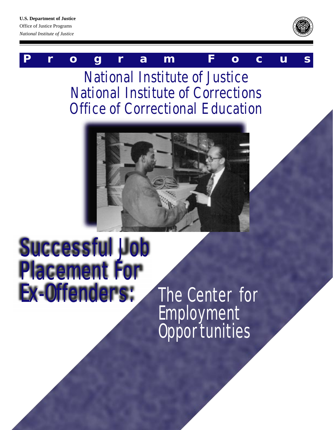#### **U.S. Department of Justice**

Office of Justice Programs *National Institute of Justice*



## **P r o g r a m F o c u s**

National Institute of Justice National Institute of Corrections Office of Correctional Education



# Successful Job Placement For Ex-Offenders: The Center for

**Employment Opportunities**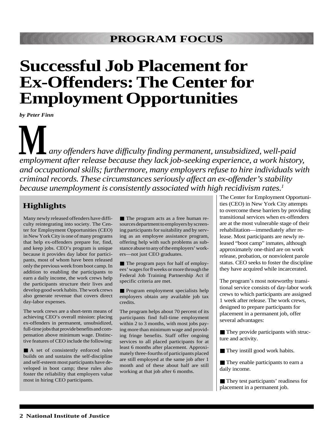## **Successful Job Placement for Ex-Offenders: The Center for Employment Opportunities**

*by Peter Finn*

**M** *employment after release because they lack job-seeking experience, a work history, any offenders have difficulty finding permanent, unsubsidized, well-paid and occupational skills; furthermore, many employers refuse to hire individuals with criminal records. These circumstances seriously affect an ex-offender's stability because unemployment is consistently associated with high recidivism rates.1*

### **Highlights**

Many newly released offenders have difficulty reintegrating into society. The Center for Employment Opportunities (CEO) in New York City is one of many programs that help ex-offenders prepare for, find, and keep jobs. CEO's program is unique because it provides day labor for participants, most of whom have been released only the previous week from boot camp. In addition to enabling the participants to earn a daily income, the work crews help the participants structure their lives and develop good work habits. The work crews also generate revenue that covers direct day-labor expenses.

The work crews are a short-term means of achieving CEO's overall mission: placing ex-offenders in permanent, unsubsidized, full-time jobs that provide benefits and compensation above minimum wage. Distinctive features of CEO include the following:

■ A set of consistently enforced rules builds on and sustains the self-discipline and self-esteem most participants have developed in boot camp; these rules also foster the reliability that employers value most in hiring CEO participants.

■ The program acts as a free human resources department to employers by screening participants for suitability and by serving as an employee assistance program, offering help with such problems as substance abuse to any of the employers' workers—not just CEO graduates.

■ The program pays for half of employees' wages for 8 weeks or more through the Federal Job Training Partnership Act if specific criteria are met.

■ Program employment specialists help employers obtain any available job tax credits.

The program helps about 70 percent of its participants find full-time employment within 2 to 3 months, with most jobs paying more than minimum wage and providing fringe benefits. Staff offer ongoing services to all placed participants for at least 6 months after placement. Approximately three-fourths of participants placed are still employed at the same job after 1 month and of these about half are still working at that job after 6 months.

The Center for Employment Opportunities (CEO) in New York City attempts to overcome these barriers by providing transitional services when ex-offenders are at the most vulnerable stage of their rehabilitation—immediately after release. Most participants are newly released "boot camp" inmates, although approximately one-third are on work release, probation, or nonviolent parole status. CEO seeks to foster the discipline they have acquired while incarcerated.

The program's most noteworthy transitional service consists of day-labor work crews to which participants are assigned 1 week after release. The work crews, designed to prepare participants for placement in a permanent job, offer several advantages:

■ They provide participants with structure and activity.

■ They instill good work habits.

■ They enable participants to earn a daily income.

■ They test participants' readiness for placement in a permanent job.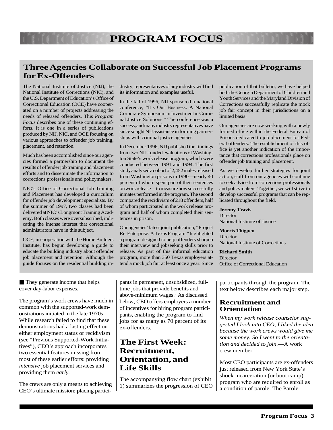#### **Three Agencies Collaborate on Successful Job Placement Programs for Ex-Offenders**

The National Institute of Justice (NIJ), the National Institute of Corrections (NIC), and the U.S. Department of Education's Office of Correctional Education (OCE) have cooperated on a number of projects addressing the needs of released offenders. This *Program Focus* describes one of these continuing efforts. It is one in a series of publications produced by NIJ, NIC, and OCE focusing on various approaches to offender job training, placement, and retention.

Much has been accomplished since our agencies formed a partnership to document the results of offender job training and placement efforts and to disseminate the information to corrections professionals and policymakers.

NIC's Office of Correctional Job Training and Placement has developed a curriculum for offender job development specialists. By the summer of 1997, two classes had been delivered at NIC's Longmont Training Academy. Both classes were oversubscribed, indicating the intense interest that correctional administrators have in this subject.

OCE, in cooperation with the Home Builders Institute, has begun developing a guide to educate the building industry about offender job placement and retention. Although the guide focuses on the residential building industry, representatives of any industry will find its information and examples useful.

In the fall of 1996, NIJ sponsored a national conference, "It's Our Business: A National Corporate Symposium in Investment in Criminal Justice Solutions." The conference was a success, and many industry representatives have since sought NIJ assistance in forming partnerships with criminal justice agencies.

In December 1996, NIJ published the findings from two NIJ-funded evaluations of Washington State's work release program, which were conducted between 1991 and 1994. The first study analyzed a cohort of 2,452 males released from Washington prisons in 1990—nearly 40 percent of whom spent part of their sentences on work release—to measure how successfully inmates performed in the program. The second compared the recidivism of 218 offenders, half of whom participated in the work release program and half of whom completed their sentences in prison.

Our agencies' latest joint publication, "Project Re-Enterprise: A Texas Program," highlighted a program designed to help offenders sharpen their interview and jobseeking skills prior to release. As part of this informal education program, more than 350 Texas employers attend a mock job fair at least once a year. Since

publication of that bulletin, we have helped both the Georgia Department of Children and Youth Services and the Maryland Division of Corrections successfully replicate the mock job fair concept in their jurisdictions on a limited basis.

Our agencies are now working with a newly formed office within the Federal Bureau of Prisons dedicated to job placement for Federal offenders. The establishment of this office is yet another indication of the importance that corrections professionals place on offender job training and placement.

As we develop further strategies for joint action, staff from our agencies will continue to seek advice from corrections professionals and policymakers. Together, we will strive to develop successful programs that can be replicated throughout the field.

**Jeremy Travis Director** National Institute of Justice

**Morris Thigpen Director** National Institute of Corrections

**Richard Smith Director** Office of Correctional Education

■ They generate income that helps cover day-labor expenses.

The program's work crews have much in common with the supported-work demonstrations initiated in the late 1970s. While research failed to find that these demonstrations had a lasting effect on either employment status or recidivism (see "Previous Supported-Work Initiatives"), CEO's approach incorporates two essential features missing from most of these earlier efforts: providing *intensive* job placement services and providing them *early*.

The crews are only a means to achieving CEO's ultimate mission: placing participants in permanent, unsubsidized, fulltime jobs that provide benefits and above-minimum wages.<sup>2</sup> As discussed below, CEO offers employers a number of incentives for hiring program participants, enabling the program to find jobs for as many as 70 percent of its ex-offenders.

#### **The First Week: Recruitment, Orientation, and Life Skills**

The accompanying flow chart (exhibit 1) summarizes the progression of CEO participants through the program. The text below describes each major step.

#### **Recruitment and Orientation**

*When my work release counselor suggested I look into CEO, I liked the idea because the work crews would give me some money. So I went to the orientation and decided to join.*—A work crew member

Most CEO participants are ex-offenders just released from New York State's shock incarceration (or boot camp) program who are required to enroll as a condition of parole. The Parole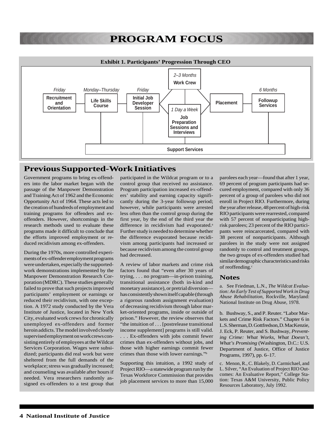

#### **Previous Supported-Work Initiatives**

Government programs to bring ex-offenders into the labor market began with the passage of the Manpower Demonstration and Training Act of 1962 and the Economic Opportunity Act of 1964. These acts led to the creation of hundreds of employment and training programs for offenders and exoffenders. However, shortcomings in the research methods used to evaluate these programs made it difficult to conclude that the efforts improved employment or reduced recidivism among ex-offenders.

During the 1970s, more controlled experiments of ex-offender employment programs were undertaken, especially the supportedwork demonstrations implemented by the Manpower Demonstration Research Corporation (MDRC). These studies generally failed to prove that such projects improved participants' employment or earnings or reduced their recidivism, with one exception. A 1972 study conducted by the Vera Institute of Justice, located in New York City, evaluated work crews for chronically unemployed ex-offenders and former heroin addicts. The model involved closely supervised employment on work crews consisting entirely of employees at the Wildcat Services Corporation. Wages were subsidized; participants did real work but were sheltered from the full demands of the workplace; stress was gradually increased; and counseling was available after hours if needed. Vera researchers randomly assigned ex-offenders to a test group that participated in the Wildcat program or to a control group that received no assistance. Program participation increased ex-offenders' stability and earning capacity significantly during the 3-year followup period; however, while participants were arrested less often than the control group during the first year, by the end of the third year the difference in recidivism had evaporated.<sup>a</sup> Further study is needed to determine whether the difference evaporated because recidivism among participants had increased or because recidivism among the control group had decreased.

A review of labor markets and crime risk factors found that "even after 30 years of trying, . . . no program—in-prison training, transitional assistance (both in-kind and monetary assistance), or pretrial diversion has consistently shown itself capable (through a rigorous random assignment evaluation) of decreasing recidivism through labor market-oriented programs, inside or outside of prison." However, the review observes that "the intuition of . . . [postrelease transitional income supplement] programs is still valid. . . . Ex-offenders with jobs commit fewer crimes than ex-offenders without jobs, and those with higher earnings commit fewer crimes than those with lower earnings."b

Supporting this intuition, a 1992 study of Project RIO—a statewide program run by the Texas Workforce Commission that provides job placement services to more than 15,000 parolees each year—found that after 1 year, 69 percent of program participants had secured employment, compared with only 36 percent of a group of parolees who did not enroll in Project RIO. Furthermore, during the year after release, 48 percent of high-risk RIO participants were rearrested, compared with 57 percent of nonparticipating highrisk parolees; 23 percent of the RIO participants were reincarcerated, compared with 38 percent of nonparticipants. Although parolees in the study were not assigned randomly to control and treatment groups, the two groups of ex-offenders studied had similar demographic characteristics and risks of reoffending.<sup>c</sup>

#### **Notes**

a. See Friedman, L.N., *The Wildcat Evaluation: An Early Test of Supported Work in Drug Abuse Rehabilitation,* Rockville, Maryland: National Institute on Drug Abuse, 1978.

b. Bushway, S., and P. Reuter. "Labor Markets and Crime Risk Factors." Chapter 6 in L.S. Sherman, D. Gottfredson, D. MacKenzie, J. Eck, P. Reuter, and S. Bushway, *Preventing Crime: What Works, What Doesn't, What's Promising* (Washington, D.C.: U.S. Department of Justice, Office of Justice Programs, 1997), pp. 6–17.

c. Menon, R., C. Blakely, D. Carmichael, and L. Silver, "An Evaluation of Project RIO Outcomes: An Evaluative Report," College Station: Texas A&M University, Public Policy Resources Laboratory, July 1992.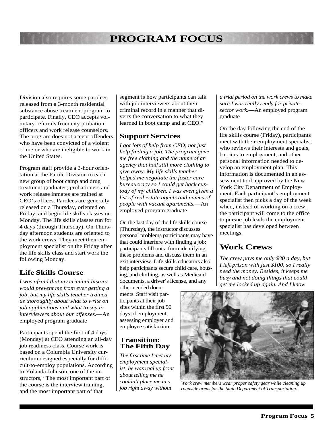Division also requires some parolees released from a 3-month residential substance abuse treatment program to participate. Finally, CEO accepts voluntary referrals from city probation officers and work release counselors. The program does not accept offenders who have been convicted of a violent crime or who are ineligible to work in the United States.

Program staff provide a 3-hour orientation at the Parole Division to each new group of boot camp and drug treatment graduates; probationers and work release inmates are trained at CEO's offices. Parolees are generally released on a Thursday, oriented on Friday, and begin life skills classes on Monday. The life skills classes run for 4 days (through Thursday). On Thursday afternoon students are oriented to the work crews. They meet their employment specialist on the Friday after the life skills class and start work the following Monday.

#### **Life Skills Course**

*I was afraid that my criminal history would prevent me from ever getting a job, but my life skills teacher trained us thoroughly about what to write on job applications and what to say to interviewers about our offenses.*—An employed program graduate

Participants spend the first of 4 days (Monday) at CEO attending an all-day job readiness class. Course work is based on a Columbia University curriculum designed especially for difficult-to-employ populations. According to Yolanda Johnson, one of the instructors, "The most important part of the course is the interview training, and the most important part of that

segment is how participants can talk with job interviewers about their criminal record in a manner that diverts the conversation to what they learned in boot camp and at CEO."

#### **Support Services**

*I got lots of help from CEO, not just help finding a job. The program gave me free clothing and the name of an agency that had still more clothing to give away. My life skills teacher helped me negotiate the foster care bureaucracy so I could get back custody of my children. I was even given a list of real estate agents and names of people with vacant apartments.*—An employed program graduate

On the last day of the life skills course (Thursday), the instructor discusses personal problems participants may have that could interfere with finding a job; participants fill out a form identifying these problems and discuss them in an exit interview. Life skills educators also help participants secure child care, housing, and clothing, as well as Medicaid documents, a driver's license, and any

other needed documents. Staff visit participants at their job sites within the first 90 days of employment, assessing employer and employee satisfaction.

#### **Transition: The Fifth Day**

*The first time I met my employment specialist, he was real up front about telling me he couldn't place me in a job right away without*

*a trial period on the work crews to make sure I was really ready for privatesector work.*—An employed program graduate

On the day following the end of the life skills course (Friday), participants meet with their employment specialist, who reviews their interests and goals, barriers to employment, and other personal information needed to develop an employment plan. This information is documented in an assessment tool approved by the New York City Department of Employment. Each participant's employment specialist then picks a day of the week when, instead of working on a crew, the participant will come to the office to pursue job leads the employment specialist has developed between meetings.

#### **Work Crews**

*The crew pays me only \$30 a day, but I left prison with just \$100, so I really need the money. Besides, it keeps me busy and not doing things that could get me locked up again. And I know*



*Work crew members wear proper safety gear while cleaning up roadside areas for the State Department of Transportation.*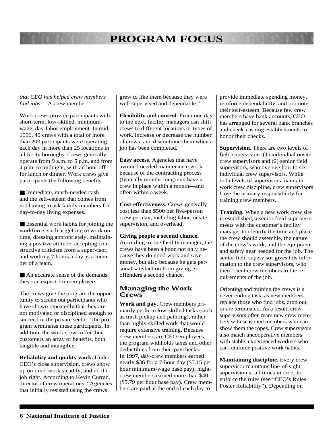#### *that CEO has helped crew members find jobs.*—A crew member

Work crews provide participants with short-term, low-skilled, minimumwage, day-labor employment. In mid-1996, 40 crews with a total of more than 200 participants were operating each day in more than 25 locations in all 5 city boroughs. Crews generally operate from 9 a.m. to 5 p.m. and from 4 p.m. to midnight, with an hour off for lunch or dinner. Work crews give participants the following benefits:

■ Immediate, much-needed cash and the self-esteem that comes from not having to ask family members for day-to-day living expenses.

■ Essential work habits for joining the workforce, such as getting to work on time, dressing appropriately, maintaining a positive attitude, accepting constructive criticism from a supervisor, and working 7 hours a day as a member of a team.

■ An accurate sense of the demands they can expect from employers.

The crews give the program the opportunity to screen out participants who have shown repeatedly that they are not motivated or disciplined enough to succeed in the private sector. The program terminates these participants. In addition, the work crews offer their customers an array of benefits, both tangible and intangible.

**Reliability and quality work.** Under CEO's close supervision, crews show up on time, work steadily, and do the job right. According to Kevin Curran, director of crew operations, "Agencies that initially resisted using the crews

grew to like them because they were well supervised and dependable."

**Flexibility and control.** From one day to the next, facility managers can shift crews to different locations or types of work, increase or decrease the number of crews, and discontinue them when a job has been completed.

**Easy access.** Agencies that have avoided needed maintenance work because of the contracting process (typically months long) can have a crew in place within a month—and often within a week.

**Cost-effectiveness.** Crews generally cost less than \$500 per five-person crew per day, including labor, onsite supervision, and overhead.

#### **Giving people a second chance.**

According to one facility manager, the crews have been a boon not only because they do good work and save money, but also because he gets personal satisfaction from giving exoffenders a second chance.

#### **Managing the Work Crews**

**Work and pay.** Crew members primarily perform low-skilled tasks (such as trash pickup and painting), rather than highly skilled work that would require extensive training. Because crew members are CEO employees, the program withholds taxes and other deductibles from their paychecks. In 1997, day-crew members earned nearly \$36 for a 7-hour day (\$5.15 per hour minimum-wage base pay); nightcrew members earned more than \$40 (\$5.79 per hour base pay). Crew members are paid at the end of each day to

provide immediate spending money, reinforce dependability, and promote their self-esteem. Because few crew members have bank accounts, CEO has arranged for several bank branches and check-cashing establishments to honor their checks.

**Supervision.** There are two levels of field supervision: (1) individual onsite crew supervisors and (2) senior field supervisors, who oversee four to six individual crew supervisors. While both levels of supervisors maintain work crew discipline, crew supervisors have the primary responsibility for training crew members.

**Training.** When a new work crew site is established, a senior field supervisor meets with the customer's facility manager to identify the time and place the crew should assemble, the nature of the crew's work, and the equipment and safety gear needed for the job. The senior field supervisor gives this information to the crew supervisors, who then orient crew members to the requirements of the job.

Orienting and training the crews is a never-ending task, as new members replace those who find jobs, drop out, or are terminated. As a result, crew supervisors often team new crew members with seasoned members who can show them the ropes. Crew supervisors also match uncooperative members with stable, experienced workers who can reinforce positive work habits.

**Maintaining discipline.** Every crew supervisor maintains line-of-sight supervision at all times in order to enforce the rules (see "CEO's Rules Foster Reliability"). Depending on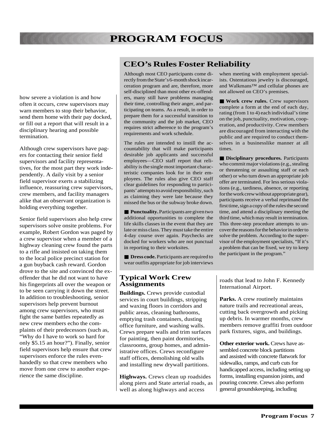how severe a violation is and how often it occurs, crew supervisors may warn members to stop their behavior, send them home with their pay docked, or fill out a report that will result in a disciplinary hearing and possible termination.

Although crew supervisors have pagers for contacting their senior field supervisors and facility representatives, for the most part they work independently. A daily visit by a senior field supervisor exerts a stabilizing influence, reassuring crew supervisors, crew members, and facility managers alike that an observant organization is holding everything together.

Senior field supervisors also help crew supervisors solve onsite problems. For example, Robert Gordon was paged by a crew supervisor when a member of a highway cleaning crew found the parts to a rifle and insisted on taking them to the local police precinct station for a gun buyback cash reward. Gordon drove to the site and convinced the exoffender that he did not want to have his fingerprints all over the weapon or to be seen carrying it down the street. In addition to troubleshooting, senior supervisors help prevent burnout among crew supervisors, who must fight the same battles repeatedly as new crew members echo the complaints of their predecessors (such as, "Why do I have to work so hard for only \$5.15 an hour?"). Finally, senior field supervisors help ensure that crew supervisors enforce the rules evenhandedly so that crew members who move from one crew to another experience the same discipline.

#### **CEO's Rules Foster Reliability**

Although most CEO participants come directly from the State's 6-month shock incarceration program and are, therefore, more self-disciplined than most other ex-offenders, many still have problems managing their time, controlling their anger, and participating on teams. As a result, in order to prepare them for a successful transition to the community and the job market, CEO requires strict adherence to the program's requirements and work schedule.

The rules are intended to instill the accountability that will make participants desirable job applicants and successful employees—CEO staff report that reliability is the single most important characteristic companies look for in their employees. The rules also give CEO staff clear guidelines for responding to participants' attempts to avoid responsibility, such as claiming they were late because they missed the bus or the subway broke down.

■ **Punctuality.** Participants are given two additional opportunities to complete the life skills classes in the event that they are late or miss class. They must take the entire 4-day course over again. Paychecks are docked for workers who are not punctual in reporting to their worksites.

■ **Dress code.** Participants are required to wear outfits appropriate for job interviews

#### **Typical Work Crew Assignments**

**Buildings.** Crews provide custodial services in court buildings, stripping and waxing floors in corridors and public areas, cleaning bathrooms, emptying trash containers, dusting office furniture, and washing walls. Crews prepare walls and trim surfaces for painting, then paint dormitories, classrooms, group homes, and administrative offices. Crews reconfigure staff offices, demolishing old walls and installing new drywall partitions.

**Highways.** Crews clean up roadsides along piers and State arterial roads, as well as along highways and access

when meeting with employment specialists. Ostentatious jewelry is discouraged, and Walkmans™ and cellular phones are not allowed on CEO's premises.

■ **Work crew rules.** Crew supervisors complete a form at the end of each day, rating (from 1 to 4) each individual's time on the job, punctuality, motivation, cooperation, and productivity. Crew members are discouraged from interacting with the public and are required to conduct themselves in a businesslike manner at all times.

■ **Disciplinary procedures.** Participants who commit major violations (e.g., stealing or threatening or assaulting staff or each other) or who turn down an appropriate job offer are terminated. For less serious violations (e.g., tardiness, absence, or reporting for the work crew without appropriate gear), participants receive a verbal reprimand the first time, sign a copy of the rules the second time, and attend a disciplinary meeting the third time, which may result in termination. This three-step procedure attempts to uncover the reasons for the behavior in order to solve the problem. According to the supervisor of the employment specialists, "If it's a problem that can be fixed, we try to keep the participant in the program."

roads that lead to John F. Kennedy International Airport.

**Parks.** A crew routinely maintains nature trails and recreational areas, cutting back overgrowth and picking up debris. In warmer months, crew members remove graffiti from outdoor park fixtures, signs, and buildings.

**Other exterior work.** Crews have assembled concrete block partitions and assisted with concrete flatwork for sidewalks, ramps, and curb cuts for handicapped access, including setting up forms, installing expansion joints, and pouring concrete. Crews also perform general groundskeeping, including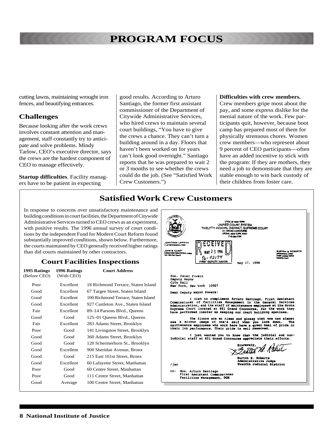cutting lawns, maintaining wrought iron fences, and beautifying entrances.

#### **Challenges**

Because looking after the work crews involves constant attention and management, staff constantly try to anticipate and solve problems. Mindy Tarlow, CEO's executive director, says the crews are the hardest component of CEO to manage effectively.

**Startup difficulties**. Facility managers have to be patient in expecting

good results. According to Arturo Santiago, the former first assistant commissioner of the Department of Citywide Administrative Services, who hired crews to maintain several court buildings, "You have to give the crews a chance. They can't turn a building around in a day. Floors that haven't been worked on for years can't look good overnight." Santiago reports that he was prepared to wait 2 or 3 months to see whether the crews could do the job. (See "Satisfied Work Crew Customers.")

#### **Difficulties with crew members.**

Crew members gripe most about the pay, and some express dislike for the menial nature of the work. Few participants quit, however, because boot camp has prepared most of them for physically strenuous chores. Women crew members—who represent about 9 percent of CEO participants—often have an added incentive to stick with the program: If they are mothers, they need a job to demonstrate that they are stable enough to win back custody of their children from foster care.

#### **Satisfied Work Crew Customers**

In response to concerns over unsatisfactory maintenance and building conditions in court facilities, the Department of Citywide Administrative Services turned to CEO crews as an experiment, with positive results. The 1996 annual survey of court conditions by the independent Fund for Modern Court Reform found substantially improved conditions, shown below. Furthermore, the courts maintained by CEO generally received higher ratings than did courts maintained by other contractors.

#### **Court Facilities Inspections**

| 1995 Ratings<br>(Before CEO) | 1996 Ratings<br>(With CEO) | <b>Court Address</b>                |
|------------------------------|----------------------------|-------------------------------------|
| Poor                         | Excellent                  | 18 Richmond Terrace, Staten Island  |
| Good                         | Excellent                  | 67 Targee Street, Staten Island     |
| Good                         | Excellent                  | 100 Richmond Terrace, Staten Island |
| Good                         | Excellent                  | 927 Castleton Ave., Staten Island   |
| Fair                         | Excellent                  | 89–14 Parsons Blvd., Queens         |
| Good                         | Good                       | 125–01 Queens Blvd., Queens         |
| Fair                         | Excellent                  | 283 Adams Street, Brooklyn          |
| Poor                         | Good                       | 141 Livingston Street, Brooklyn     |
| Good                         | Good                       | 360 Adams Street, Brooklyn          |
| Good                         | Good                       | 120 Schermerhorn St., Brooklyn      |
| Good                         | Excellent                  | 900 Sheridan Avenue, Bronx          |
| Good                         | Good                       | 215 East 161st Street, Bronx        |
| Good                         | Excellent                  | 60 Lafayette Street, Manhattan      |
| Poor                         | Good                       | 60 Centre Street, Manhattan         |
| Poor                         | Good                       | 111 Centre Street, Manhattan        |
| Good                         | Average                    | 100 Centre Street, Manhattan        |

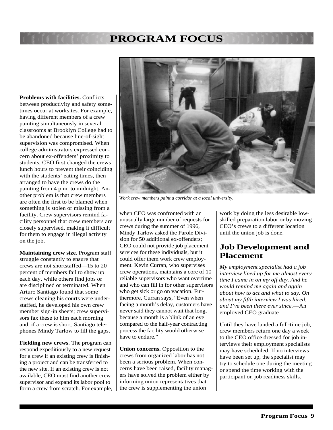**Problems with facilities.** Conflicts between productivity and safety sometimes occur at worksites. For example, having different members of a crew painting simultaneously in several classrooms at Brooklyn College had to be abandoned because line-of-sight supervision was compromised. When college administrators expressed concern about ex-offenders' proximity to students, CEO first changed the crews' lunch hours to prevent their coinciding with the students' eating times, then arranged to have the crews do the painting from 4 p.m. to midnight. Another problem is that crew members are often the first to be blamed when something is stolen or missing from a facility. Crew supervisors remind facility personnel that crew members are closely supervised, making it difficult for them to engage in illegal activity on the job.

**Maintaining crew size.** Program staff struggle constantly to ensure that crews are not shortstaffed—15 to 20 percent of members fail to show up each day, while others find jobs or are disciplined or terminated. When Arturo Santiago found that some crews cleaning his courts were understaffed, he developed his own crew member sign-in sheets; crew supervisors fax these to him each morning and, if a crew is short, Santiago telephones Mindy Tarlow to fill the gaps.

**Fielding new crews**. The program can respond expeditiously to a new request for a crew if an existing crew is finishing a project and can be transferred to the new site. If an existing crew is not available, CEO must find another crew supervisor and expand its labor pool to form a crew from scratch. For example,



*Work crew members paint a corridor at a local university.*

when CEO was confronted with an unusually large number of requests for crews during the summer of 1996, Mindy Tarlow asked the Parole Division for 50 additional ex-offenders; CEO could not provide job placement services for these individuals, but it could offer them work crew employment. Kevin Curran, who supervises crew operations, maintains a core of 10 reliable supervisors who want overtime and who can fill in for other supervisors who get sick or go on vacation. Furthermore, Curran says, "Even when facing a month's delay, customers have never said they cannot wait that long, because a month is a blink of an eye compared to the half-year contracting process the facility would otherwise have to endure."

**Union concerns.** Opposition to the crews from organized labor has not been a serious problem. When concerns have been raised, facility managers have solved the problem either by informing union representatives that the crew is supplementing the union

work by doing the less desirable lowskilled preparation labor or by moving CEO's crews to a different location until the union job is done.

#### **Job Development and Placement**

*My employment specialist had a job interview lined up for me almost every time I came in on my off day. And he would remind me again and again about how to act and what to say. On about my fifth interview I was hired, and I've been there ever since.*—An employed CEO graduate

Until they have landed a full-time job, crew members return one day a week to the CEO office dressed for job interviews their employment specialists may have scheduled. If no interviews have been set up, the specialist may try to schedule one during the meeting or spend the time working with the participant on job readiness skills.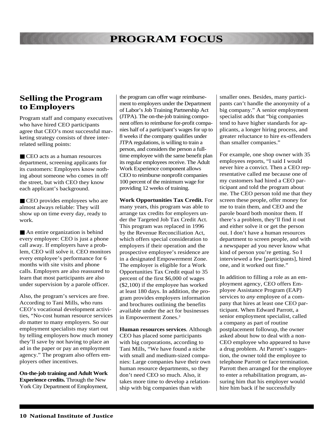#### **Selling the Program to Employers**

Program staff and company executives who have hired CEO participants agree that CEO's most successful marketing strategy consists of three interrelated selling points:

■ CEO acts as a human resources department, screening applicants for its customers: Employers know nothing about someone who comes in off the street, but with CEO they know each applicant's background.

■ CEO provides employees who are almost always reliable: They will show up on time every day, ready to work.

■ An entire organization is behind every employee: CEO is just a phone call away. If employers have a problem, CEO will solve it. CEO monitors every employee's performance for 6 months with site visits and phone calls. Employers are also reassured to learn that most participants are also under supervision by a parole officer.

Also, the program's services are free. According to Tani Mills, who runs CEO's vocational development activities, "No-cost human resource services *do* matter to many employers. So our employment specialists may start out by telling employers how much money they'll save by not having to place an ad in the paper or pay an employment agency." The program also offers employers other incentives.

**On-the-job training and Adult Work Experience credits.** Through the New York City Department of Employment,

the program can offer wage reimbursement to employers under the Department of Labor's Job Training Partnership Act (JTPA). The on-the-job training component offers to reimburse for-profit companies half of a participant's wages for up to 8 weeks if the company qualifies under JTPA regulations, is willing to train a person, and considers the person a fulltime employee with the same benefit plan its regular employees receive. The Adult Work Experience component allows CEO to reimburse nonprofit companies 100 percent of the minimum wage for providing 12 weeks of training.

**Work Opportunities Tax Credit.** For many years, this program was able to arrange tax credits for employers under the Targeted Job Tax Credit Act. This program was replaced in 1996 by the Revenue Reconciliation Act, which offers special consideration to employers if their operation and the prospective employee's residence are in a designated Empowerment Zone. The employer is eligible for a Work Opportunities Tax Credit equal to 35 percent of the first \$6,000 of wages (\$2,100) if the employee has worked at least 180 days. In addition, the program provides employers information and brochures outlining the benefits available under the act for businesses in Empowerment Zones.3

**Human resources services**. Although CEO has placed some participants with big corporations, according to Tani Mills, "We have found a niche with small and medium-sized companies: Large companies have their own human resource departments, so they don't need CEO so much. Also, it takes more time to develop a relationship with big companies than with

smaller ones. Besides, many participants can't handle the anonymity of a big company." A senior employment specialist adds that "big companies tend to have higher standards for applicants, a longer hiring process, and greater reluctance to hire ex-offenders than smaller companies."

For example, one shop owner with 35 employees reports, "I said I would never hire a convict. Then a CEO representative called me because one of my customers had hired a CEO participant and told the program about me. The CEO person told me that they screen these people, offer money for me to train them, and CEO and the parole board both monitor them. If there's a problem, they'll find it out and either solve it or get the person out. I don't have a human resources department to screen people, and with a newspaper ad you never know what kind of person you're getting. So I interviewed a few [participants], hired one, and it worked out fine."

In addition to filling a role as an employment agency, CEO offers Employee Assistance Program (EAP) services to *any* employee of a company that hires at least one CEO participant. When Edward Parrott, a senior employment specialist, called a company as part of routine postplacement followup, the owner asked about how to deal with a non-CEO employee who appeared to have a drug problem. At Parrott's suggestion, the owner told the employee to telephone Parrott or face termination. Parrott then arranged for the employee to enter a rehabilitation program, assuring him that his employer would hire him back if he successfully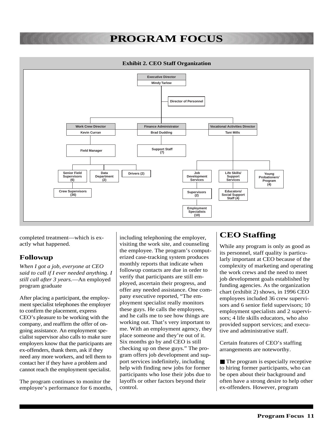#### **Exhibit 2. CEO Staff Organization**



completed treatment—which is exactly what happened.

#### **Followup**

*When I got a job, everyone at CEO said to call if I ever needed anything. I still call after 3 years.*—An employed program graduate

After placing a participant, the employment specialist telephones the employer to confirm the placement, express CEO's pleasure to be working with the company, and reaffirm the offer of ongoing assistance. An employment specialist supervisor also calls to make sure employers know that the participants are ex-offenders, thank them, ask if they need any more workers, and tell them to contact her if they have a problem and cannot reach the employment specialist.

The program continues to monitor the employee's performance for 6 months, including telephoning the employer, visiting the work site, and counseling the employee. The program's computerized case-tracking system produces monthly reports that indicate when followup contacts are due in order to verify that participants are still employed, ascertain their progress, and offer any needed assistance. One company executive reported, "The employment specialist really monitors these guys. He calls the employees, and he calls me to see how things are working out. That's very important to me. With an employment agency, they place someone and they're out of it. Six months go by and CEO is still checking up on these guys." The program offers job development and support services indefinitely, including help with finding new jobs for former participants who lose their jobs due to layoffs or other factors beyond their control.

#### **CEO Staffing**

While any program is only as good as its personnel, staff quality is particularly important at CEO because of the complexity of marketing and operating the work crews and the need to meet job development goals established by funding agencies. As the organization chart (exhibit 2) shows, in 1996 CEO employees included 36 crew supervisors and 6 senior field supervisors; 10 employment specialists and 2 supervisors; 4 life skills educators, who also provided support services; and executive and administrative staff.

Certain features of CEO's staffing arrangements are noteworthy.

■ The program is especially receptive to hiring former participants, who can be open about their background and often have a strong desire to help other ex-offenders. However, program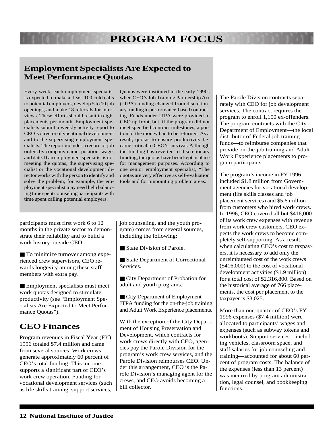### **Employment Specialists Are Expected to Meet Performance Quotas**

Every week, each employment specialist is expected to make at least 100 cold calls to potential employers, develop 5 to 10 job openings, and make 18 referrals for interviews. These efforts should result in eight placements per month. Employment specialists submit a weekly activity report to CEO's director of vocational development and to the supervising employment specialists. The report includes a record of job orders by company name, position, wage, and date. If an employment specialist is not meeting the quotas, the supervising specialist or the vocational development director works with the person to identify and solve the problem; for example, the employment specialist may need help balancing time spent counseling participants with time spent calling potential employers.

Quotas were instituted in the early 1990s when CEO's Job Training Partnership Act (JTPA) funding changed from discretionary funding to performance-based contracting. Funds under JTPA were provided to CEO up front, but, if the program did not meet specified contract milestones, a portion of the money had to be returned. As a result, quotas to ensure productivity became critical to CEO's survival. Although the funding has reverted to discretionary funding, the quotas have been kept in place for management purposes. According to one senior employment specialist, "The quotas are very effective as self-evaluation tools and for pinpointing problem areas."

participants must first work 6 to 12 months in the private sector to demonstrate their reliability and to build a work history outside CEO.

■ To minimize turnover among experienced crew supervisors, CEO rewards longevity among these staff members with extra pay.

■ Employment specialists must meet work quotas designed to stimulate productivity (see "Employment Specialists Are Expected to Meet Performance Quotas").

#### **CEO Finances**

Program revenues in Fiscal Year (FY) 1996 totaled \$7.4 million and came from several sources. Work crews generate approximately 60 percent of CEO's total funding. This income supports a significant part of CEO's work crew operation. Funding for vocational development services (such as life skills training, support services, job counseling, and the youth program) comes from several sources, including the following:

■ State Division of Parole.

■ State Department of Correctional Services.

■ City Department of Probation for adult and youth programs.

■ City Department of Employment JTPA funding for the on-the-job training and Adult Work Experience placements.

With the exception of the City Department of Housing Preservation and Development, which contracts for work crews directly with CEO, agencies pay the Parole Division for the program's work crew services, and the Parole Division reimburses CEO. Under this arrangement, CEO is the Parole Division's managing agent for the crews, and CEO avoids becoming a bill collector.

The Parole Division contracts separately with CEO for job development services. The contract requires the program to enroll 1,150 ex-offenders. The program contracts with the City Department of Employment—the local distributor of Federal job training funds—to reimburse companies that provide on-the-job training and Adult Work Experience placements to program participants.

The program's income in FY 1996 included \$1.8 million from Government agencies for vocational development (life skills classes and job placement services) and \$5.6 million from customers who hired work crews. In 1996, CEO covered all but \$416,000 of its work crew expenses with revenue from work crew customers. CEO expects the work crews to become completely self-supporting. As a result, when calculating CEO's cost to taxpayers, it is necessary to add only the unreimbursed cost of the work crews (\$416,000) to the cost of vocational development activities (\$1.9 million) for a total cost of \$2,316,800. Based on the historical average of 766 placements, the cost per placement to the taxpayer is \$3,025.

More than one-quarter of CEO's FY 1996 expenses (\$7.4 million) were allocated to participants' wages and expenses (such as subway tokens and workboots). Support services—including vehicles, classroom space, and staff salaries for job counseling and training—accounted for about 60 percent of program costs. The balance of the expenses (less than 13 percent) was incurred by program administration, legal counsel, and bookkeeping functions.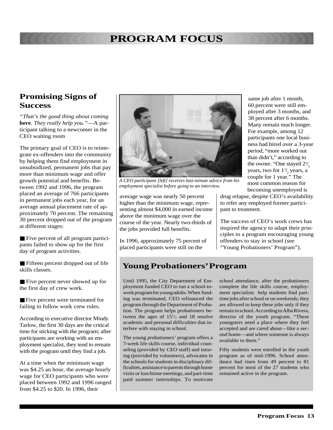#### **Promising Signs of Success**

*"That's the good thing about coming* **here***. They really help you."*—A participant talking to a newcomer in the CEO waiting room

The primary goal of CEO is to reintegrate ex-offenders into the community by helping them find employment in unsubsidized, permanent jobs that pay more than minimum wage and offer growth potential and benefits. Between 1992 and 1996, the program placed an average of 766 participants in permanent jobs each year, for an average annual placement rate of approximately 70 percent. The remaining 30 percent dropped out of the program at different stages:

■ Five percent of all program participants failed to show up for the first day of program activities.

■ Fifteen percent dropped out of life skills classes.

■ Five percent never showed up for the first day of crew work.

■ Five percent were terminated for failing to follow work crew rules.

According to executive director Mindy Tarlow, the first 30 days are the critical time for sticking with the program; after participants are working with an employment specialist, they tend to remain with the program until they find a job.

At a time when the minimum wage was \$4.25 an hour, the average hourly wage for CEO participants who were placed between 1992 and 1996 ranged from \$4.25 to \$20. In 1996, their



*A CEO participant [left] receives last-minute advice from his employment specialist before going to an interview.*

average wage was nearly 50 percent higher than the minimum wage, representing almost \$4,000 in earned income above the minimum wage over the course of the year. Nearly two-thirds of the jobs provided full benefits.

In 1996, approximately 75 percent of placed participants were still on the

same job after 1 month, 60 percent were still employed after 3 months, and 38 percent after 6 months. Many remain much longer. For example, among 12 participants one local business had hired over a 3-year period, "more worked out than didn't," according to the owner. "One stayed  $2\frac{1}{2}$ years, two for  $1\frac{1}{2}$  years, a couple for 1 year." The most common reason for becoming unemployed is

drug relapse, despite CEO's availability to refer any employed former participant to treatment.

The success of CEO's work crews has inspired the agency to adapt their principles to a program encouraging young offenders to stay in school (see "Young Probationers' Program").

#### **Young Probationers' Program**

Until 1995, the City Department of Employment funded CEO to run a school-towork program for young adults. When funding was terminated, CEO refinanced the program through the Department of Probation. The program helps probationers between the ages of  $15\frac{1}{2}$  and 18 resolve academic and personal difficulties that interfere with staying in school.

The young probationers' program offers a 7-week life skills course, individual counseling (provided by CEO staff) and tutoring (provided by volunteers), advocates in the schools for students in disciplinary difficulties, assistance to parents through home visits or lunchtime meetings, and part-time paid summer internships. To motivate

school attendance, after the probationers complete the life skills course, employment specialists help students find parttime jobs after school or on weekends; they are allowed to keep these jobs only if they remain in school. According to Alba Rivera, director of the youth program, "These youngsters need a place where they feel accepted and are cared about—like a second home—and where someone is always available to them."

Fifty students were enrolled in the youth program as of mid-1996. School attendance had risen from 49 percent to 81 percent for most of the 27 students who remained active in the program.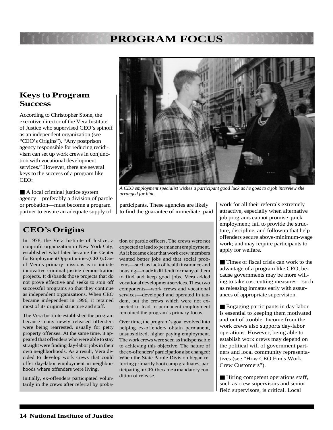#### **Keys to Program Success**

According to Christopher Stone, the executive director of the Vera Institute of Justice who supervised CEO's spinoff as an independent organization (see "CEO's Origins"), "Any postprison agency responsible for reducing recidivism can set up work crews in conjunction with vocational development services." However, there are several keys to the success of a program like CEO:

■ A local criminal justice system agency—preferably a division of parole or probation—must become a program partner to ensure an adequate supply of

#### **CEO's Origins**

In 1978, the Vera Institute of Justice, a nonprofit organization in New York City, established what later became the Center for Employment Opportunities (CEO). One of Vera's primary missions is to initiate innovative criminal justice demonstration projects. It disbands those projects that do not prove effective and seeks to spin off successful programs so that they continue as independent organizations. When CEO became independent in 1996, it retained most of its original structure and staff.

The Vera Institute established the program because many newly released offenders were being rearrested, usually for petty property offenses. At the same time, it appeared that offenders who were able to stay straight were finding day-labor jobs in their own neighborhoods. As a result, Vera decided to develop work crews that could offer day-labor employment in neighborhoods where offenders were living.

Initially, ex-offenders participated voluntarily in the crews after referral by proba-

tion or parole officers. The crews were not expected to lead to permanent employment. As it became clear that work crew members wanted better jobs and that social problems—such as lack of health insurance and housing—made it difficult for many of them to find and keep good jobs, Vera added vocational development services. These two components—work crews and vocational services—developed and operated in tandem, but the crews which were not expected to lead to permanent employment remained the program's primary focus.

Over time, the program's goal evolved into helping ex-offenders obtain permanent, unsubsidized, higher paying employment. The work crews were seen as indispensable to achieving this objective. The nature of the ex-offenders' participation also changed: When the State Parole Division began referring primarily boot camp graduates, participating in CEO became a mandatory condition of release.

work for all their referrals extremely attractive, especially when alternative job programs cannot promise quick employment; fail to provide the structure, discipline, and followup that help offenders secure above-minimum-wage work; and may require participants to apply for welfare.

■ Times of fiscal crisis can work to the advantage of a program like CEO, because governments may be more willing to take cost-cutting measures—such as releasing inmates early with assurances of appropriate supervision.

■ Engaging participants in day labor is essential to keeping them motivated and out of trouble. Income from the work crews also supports day-labor operations. However, being able to establish work crews may depend on the political will of government partners and local community representatives (see "How CEO Finds Work Crew Customers").

■ Hiring competent operations staff, such as crew supervisors and senior field supervisors, is critical. Local



*arranged for him.*

participants. These agencies are likely to find the guarantee of immediate, paid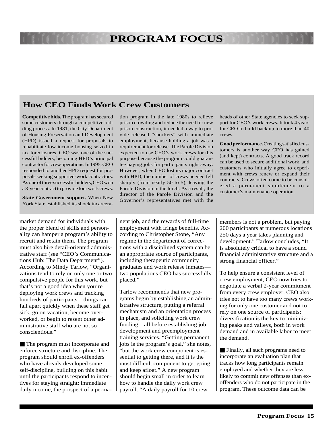#### **How CEO Finds Work Crew Customers**

**Competitive bids.** The program has secured some customers through a competitive bidding process. In 1981, the City Department of Housing Preservation and Development (HPD) issued a request for proposals to rehabilitate low-income housing seized in tax foreclosures. CEO was one of the successful bidders, becoming HPD's principal contractor for crew operations. In 1995, CEO responded to another HPD request for proposals seeking supported-work contractors. As one of three successful bidders, CEO won a 3-year contract to provide four work crews.

**State Government support.** When New York State established its shock incarcera-

market demand for individuals with the proper blend of skills and personality can hamper a program's ability to recruit and retain them. The program must also hire detail-oriented administrative staff (see "CEO's Communications Hub: The Data Department"). According to Mindy Tarlow, "Organizations tend to rely on only one or two compulsive people for this work, but that's not a good idea when you're deploying work crews and tracking hundreds of participants—things can fall apart quickly when these staff get sick, go on vacation, become overworked, or begin to resent other administrative staff who are not so conscientious."

■ The program must incorporate and enforce structure and discipline. The program should enroll ex-offenders who have already developed some self-discipline, building on this habit until the participants respond to incentives for staying straight: immediate daily income, the prospect of a permation program in the late 1980s to relieve prison crowding and reduce the need for new prison construction, it needed a way to provide released "shockers" with immediate employment, because holding a job was a requirement for release. The Parole Division expected to use CEO's work crews for this purpose because the program could guarantee paying jobs for participants right away. However, when CEO lost its major contract with HPD, the number of crews needed fell sharply (from nearly 50 to 5), leaving the Parole Division in the lurch. As a result, the director of the Parole Division and the Governor's representatives met with the heads of other State agencies to seek support for CEO's work crews. It took 4 years for CEO to build back up to more than 40 crews.

**Good performance.** Creating satisfied customers is another way CEO has gained (and kept) contracts. A good track record can be used to secure additional work, and customers who initially agree to experiment with crews renew or expand their contracts. Crews often come to be considered a permanent supplement to a customer's maintenance operation.

nent job, and the rewards of full-time employment with fringe benefits. According to Christopher Stone, "Any regime in the department of corrections with a disciplined system can be an appropriate source of participants, including therapeutic community graduates and work release inmates two populations CEO has successfully placed."

Tarlow recommends that new programs begin by establishing an administrative structure, putting a referral mechanism and an orientation process in place, and soliciting work crew funding—all before establishing job development and preemployment training services. "Getting permanent jobs is the program's goal," she notes, "but the work crew component is essential to getting there, and it is the most difficult component to get going and keep afloat." A new program should begin small in order to learn how to handle the daily work crew payroll. "A daily payroll for 10 crew

members is not a problem, but paying 200 participants at numerous locations 250 days a year takes planning and development." Tarlow concludes, "It is absolutely critical to have a sound financial administrative structure and a strong financial officer."

To help ensure a consistent level of crew employment, CEO now tries to negotiate a verbal 2-year commitment from every crew employer. CEO also tries not to have too many crews working for only one customer and not to rely on one source of participants; diversification is the key to minimizing peaks and valleys, both in work demand and in available labor to meet the demand.

■ Finally, all such programs need to incorporate an evaluation plan that tracks how long participants remain employed and whether they are less likely to commit new offenses than exoffenders who do not participate in the program. These outcome data can be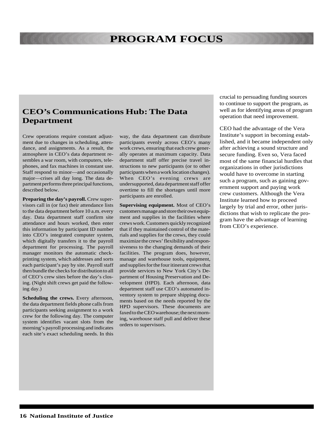#### **CEO's Communications Hub: The Data Department**

Crew operations require constant adjustment due to changes in scheduling, attendance, and assignments. As a result, the atmosphere in CEO's data department resembles a war room, with computers, telephones, and fax machines in constant use. Staff respond to minor—and occasionally major—crises all day long. The data department performs three principal functions, described below.

**Preparing the day's payroll.** Crew supervisors call in (or fax) their attendance lists to the data department before 10 a.m. every day. Data department staff confirm site attendance and hours worked, then enter this information by participant ID number into CEO's integrated computer system, which digitally transfers it to the payroll department for processing. The payroll manager monitors the automatic checkprinting system, which addresses and sorts each participant's pay by site. Payroll staff then bundle the checks for distribution to all of CEO's crew sites before the day's closing. (Night shift crews get paid the following day.)

**Scheduling the crews.** Every afternoon, the data department fields phone calls from participants seeking assignment to a work crew for the following day. The computer system identifies vacant slots from the morning's payroll processing and indicates each site's exact scheduling needs. In this

way, the data department can distribute participants evenly across CEO's many work crews, ensuring that each crew generally operates at maximum capacity. Data department staff offer precise travel instructions to new participants (or to other participants when a work location changes). When CEO's evening crews are undersupported, data department staff offer overtime to fill the shortages until more participants are enrolled.

**Supervising equipment.** Most of CEO's customers manage and store their own equipment and supplies in the facilities where crews work. Customers quickly recognized that if they maintained control of the materials and supplies for the crews, they could maximize the crews' flexibility and responsiveness to the changing demands of their facilities. The program does, however, manage and warehouse tools, equipment, and supplies for the four itinerant crews that provide services to New York City's Department of Housing Preservation and Development (HPD). Each afternoon, data department staff use CEO's automated inventory system to prepare shipping documents based on the needs reported by the HPD supervisors. These documents are faxed to the CEO warehouse; the next morning, warehouse staff pull and deliver these orders to supervisors.

crucial to persuading funding sources to continue to support the program, as well as for identifying areas of program operation that need improvement.

CEO had the advantage of the Vera Institute's support in becoming established, and it became independent only after achieving a sound structure and secure funding. Even so, Vera faced most of the same financial hurdles that organizations in other jurisdictions would have to overcome in starting such a program, such as gaining government support and paying work crew customers. Although the Vera Institute learned how to proceed largely by trial and error, other jurisdictions that wish to replicate the program have the advantage of learning from CEO's experience.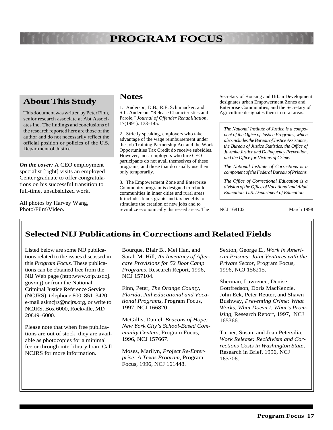#### **About This Study**

This document was written by Peter Finn, senior research associate at Abt Associates Inc. The findings and conclusions of the research reported here are those of the author and do not necessarily reflect the official position or policies of the U.S. Department of Justice.

*On the cover:* A CEO employment specialist [right] visits an employed Center graduate to offer congratulations on his successful transition to full-time, unsubsidized work.

All photos by Harvey Wang,

#### **Notes**

1. Anderson, D.B., R.E. Schumacker, and S.L. Anderson, "Release Characteristics and Parole," *Journal of Offender Rehabilitation*, 17(1991): 133–145.

2. Strictly speaking, employers who take advantage of the wage reimbursement under the Job Training Partnership Act and the Work Opportunities Tax Credit do receive subsidies. However, most employers who hire CEO participants do not avail themselves of these programs, and those that do usually use them only temporarily.

Photo\Film\Video. The revitalize economically distressed areas. The NCJ 168102 March 1998 3. The Empowerment Zone and Enterprise Community program is designed to rebuild communities in inner cities and rural areas. It includes block grants and tax benefits to stimulate the creation of new jobs and to

Secretary of Housing and Urban Development designates urban Empowerment Zones and Enterprise Communities, and the Secretary of Agriculture designates them in rural areas.

*The National Institute of Justice is a component of the Office of Justice Programs, which also includes the Bureau of Justice Assistance, the Bureau of Justice Statistics, the Office of Juvenile Justice and Delinquency Prevention, and the Office for Victims of Crime.*

*The National Institute of Corrections is a component of the Federal Bureau of Prisons.*

*The Office of Correctional Education is a division of the Office of Vocational and Adult Education, U.S. Department of Education.*

#### **Selected NIJ Publications in Corrections and Related Fields**

Listed below are some NIJ publications related to the issues discussed in this *Program Focus.* These publications can be obtained free from the NIJ Web page (http:www.ojp.usdoj. gov/nij) or from the National Criminal Justice Reference Service (NCJRS): telephone 800–851–3420, e-mail askncjrs@ncjrs.org, or write to NCJRS, Box 6000, Rockville, MD 20849–6000.

Please note that when free publications are out of stock, they are available as photocopies for a minimal fee or through interlibrary loan. Call NCJRS for more information.

Bourque, Blair B., Mei Han, and Sarah M. Hill, *An Inventory of Aftercare Provisions for 52 Boot Camp Programs,* Research Report, 1996, NCJ 157104.

Finn, Peter, *The Orange County, Florida, Jail Educational and Vocational Programs,* Program Focus, 1997, NCJ 166820.

McGillis, Daniel, *Beacons of Hope: New York City's School-Based Community Centers,* Program Focus, 1996, NCJ 157667.

Moses, Marilyn, *Project Re-Enterprise: A Texas Program,* Program Focus, 1996, NCJ 161448.

Sexton, George E., *Work in American Prisons: Joint Ventures with the Private Sector,* Program Focus, 1996, NCJ 156215.

Sherman, Lawrence, Denise Gottfredson, Doris MacKenzie, John Eck, Peter Reuter, and Shawn Bushway, *Preventing Crime: What Works, What Doesn't, What's Promising,* Research Report, 1997, NCJ 165366.

Turner, Susan, and Joan Petersilia, *Work Release: Recidivism and Corrections Costs in Washington State,* Research in Brief, 1996, NCJ 163706.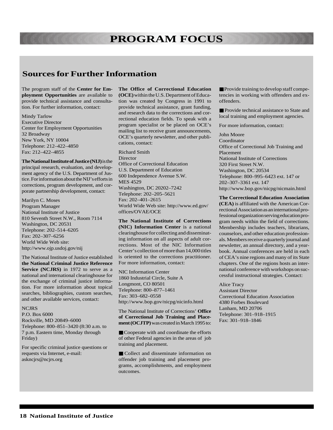#### **Sources for Further Information**

The program staff of the **Center for Employment Opportunities** are available to provide technical assistance and consultation. For further information, contact:

Mindy Tarlow Executive Director Center for Employment Opportunities 32 Broadway New York, NY 10004 Telephone: 212–422–4850 Fax: 212–422–4855

**The National Institute of Justice (NIJ)** is the principal research, evaluation, and development agency of the U.S. Department of Justice. For information about the NIJ's efforts in corrections, program development, and corporate partnership development, contact:

Marilyn C. Moses Program Manager National Institute of Justice 810 Seventh Street N.W., Room 7114 Washington, DC 20531 Telephone: 202–514–6205 Fax: 202–307–6256 World Wide Web site: http://www.ojp.usdoj.gov/nij

The National Institute of Justice established **the National Criminal Justice Reference** Service (NCJRS) in 1972 to serve as a national and international clearinghouse for the exchange of criminal justice information. For more information about topical searches, bibliographies, custom searches, and other available services, contact:

#### **NCJRS**

P.O. Box 6000 Rockville, MD 20849–6000 Telephone: 800–851–3420 (8:30 a.m. to 7 p.m. Eastern time, Monday through Friday)

For specific criminal justice questions or requests via Internet, e-mail: askncjrs@ncjrs.org

**The Office of Correctional Education (OCE)** within the U.S. Department of Education was created by Congress in 1991 to provide technical assistance, grant funding, and research data to the corrections and correctional education fields. To speak with a program specialist or be placed on OCE's mailing list to receive grant announcements, OCE's quarterly newsletter, and other publications, contact:

Richard Smith Director Office of Correctional Education U.S. Department of Education 600 Independence Avenue S.W. MES 4529 Washington, DC 20202–7242 Telephone: 202–205–5621 Fax: 202–401–2615 World Wide Web site: http://www.ed.gov/ offices/OVAE/OCE

**The National Institute of Corrections (NIC) Information Center** is a national clearinghouse for collecting and disseminating information on all aspects of adult corrections. Most of the NIC Information Center's collection of more than 14,000 titles is oriented to the corrections practitioner. For more information, contact:

NIC Information Center 1860 Industrial Circle, Suite A Longmont, CO 80501 Telephone: 800–877–1461 Fax: 303–682–0558 http://www.bop.gov/nicpg/nicinfo.html

The National Institute of Corrections' **Office of Correctional Job Training and Placement (OCJTP)** was created in March 1995 to:

■ Cooperate with and coordinate the efforts of other Federal agencies in the areas of job training and placement.

■ Collect and disseminate information on offender job training and placement programs, accomplishments, and employment outcomes.

■ Provide training to develop staff competencies in working with offenders and exoffenders.

■ Provide technical assistance to State and local training and employment agencies.

For more information, contact:

John Moore Coordinator Office of Correctional Job Training and Placement National Institute of Corrections 320 First Street N.W. Washington, DC 20534 Telephone: 800–995–6423 ext. 147 or 202–307–3361 ext. 147 http://www.bop.gov/nicpg/nicmain.html

**The Correctional Education Association**

**(CEA)** is affiliated with the American Correctional Association as an international professional organization serving education program needs within the field of corrections. Membership includes teachers, librarians, counselors, and other education professionals. Members receive a quarterly journal and newsletter, an annual directory, and a yearbook. Annual conferences are held in each of CEA's nine regions and many of its State chapters. One of the regions hosts an international conference with workshops on successful instructional strategies. Contact:

Alice Tracy

Assistant Director Correctional Education Association 4380 Forbes Boulevard Lanham, MD 20706 Telephone: 301–918–1915 Fax: 301–918–1846